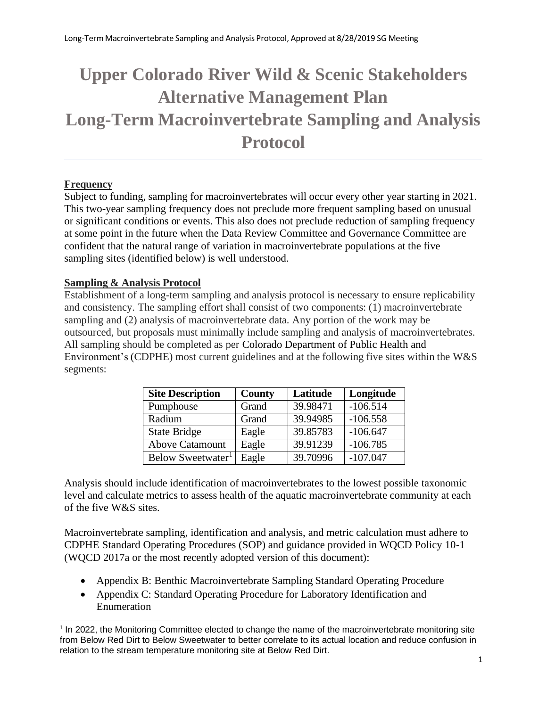# **Upper Colorado River Wild & Scenic Stakeholders Alternative Management Plan Long-Term Macroinvertebrate Sampling and Analysis Protocol**

## **Frequency**

Subject to funding, sampling for macroinvertebrates will occur every other year starting in 2021. This two-year sampling frequency does not preclude more frequent sampling based on unusual or significant conditions or events. This also does not preclude reduction of sampling frequency at some point in the future when the Data Review Committee and Governance Committee are confident that the natural range of variation in macroinvertebrate populations at the five sampling sites (identified below) is well understood.

#### **Sampling & Analysis Protocol**

Establishment of a long-term sampling and analysis protocol is necessary to ensure replicability and consistency. The sampling effort shall consist of two components: (1) macroinvertebrate sampling and (2) analysis of macroinvertebrate data. Any portion of the work may be outsourced, but proposals must minimally include sampling and analysis of macroinvertebrates. All sampling should be completed as per Colorado Department of Public Health and Environment's (CDPHE) most current guidelines and at the following five sites within the W&S segments:

| <b>Site Description</b>       | County | Latitude | Longitude  |
|-------------------------------|--------|----------|------------|
| Pumphouse                     | Grand  | 39.98471 | $-106.514$ |
| Radium                        | Grand  | 39.94985 | $-106.558$ |
| <b>State Bridge</b>           | Eagle  | 39.85783 | $-106.647$ |
| <b>Above Catamount</b>        | Eagle  | 39.91239 | $-106.785$ |
| Below Sweetwater <sup>1</sup> | Eagle  | 39.70996 | $-107.047$ |

Analysis should include identification of macroinvertebrates to the lowest possible taxonomic level and calculate metrics to assess health of the aquatic macroinvertebrate community at each of the five W&S sites.

Macroinvertebrate sampling, identification and analysis, and metric calculation must adhere to CDPHE Standard Operating Procedures (SOP) and guidance provided in WQCD Policy 10-1 (WQCD 2017a or the most recently adopted version of this document):

- Appendix B: Benthic Macroinvertebrate Sampling Standard Operating Procedure
- Appendix C: Standard Operating Procedure for Laboratory Identification and Enumeration

<sup>&</sup>lt;sup>1</sup> In 2022, the Monitoring Committee elected to change the name of the macroinvertebrate monitoring site from Below Red Dirt to Below Sweetwater to better correlate to its actual location and reduce confusion in relation to the stream temperature monitoring site at Below Red Dirt.